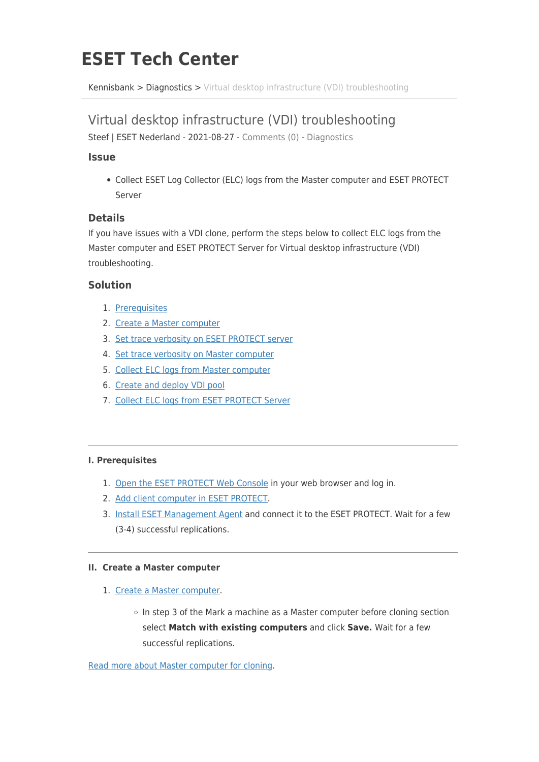# **ESET Tech Center**

[Kennisbank](https://techcenter.eset.nl/nl/kb) > [Diagnostics](https://techcenter.eset.nl/nl/kb/diagnostics-2) > [Virtual desktop infrastructure \(VDI\) troubleshooting](https://techcenter.eset.nl/nl/kb/articles/virtual-desktop-infrastructure-vdi-troubleshooting)

## Virtual desktop infrastructure (VDI) troubleshooting

Steef | ESET Nederland - 2021-08-27 - [Comments \(0\)](#page--1-0) - [Diagnostics](https://techcenter.eset.nl/nl/kb/diagnostics-2)

#### **Issue**

Collect ESET Log Collector (ELC) logs from the Master computer and ESET PROTECT Server

#### **Details**

If you have issues with a VDI clone, perform the steps below to collect ELC logs from the Master computer and ESET PROTECT Server for Virtual desktop infrastructure (VDI) troubleshooting.

#### **Solution**

- 1. [Prerequisites](https://techcenter.eset.nl/nl/kb/articles/virtual-desktop-infrastructure-vdi-troubleshooting#anchor-4)
- 2. [Create a Master computer](https://techcenter.eset.nl/nl/kb/articles/virtual-desktop-infrastructure-vdi-troubleshooting#anchor-5)
- 3. [Set trace verbosity on ESET PROTECT server](https://techcenter.eset.nl/nl/kb/articles/virtual-desktop-infrastructure-vdi-troubleshooting#anchor-6)
- 4. [Set trace verbosity on Master computer](https://techcenter.eset.nl/nl/kb/articles/virtual-desktop-infrastructure-vdi-troubleshooting#anchor-7)
- 5. [Collect ELC logs from Master computer](https://techcenter.eset.nl/nl/kb/articles/virtual-desktop-infrastructure-vdi-troubleshooting#anchor-8)
- 6. [Create and deploy VDI pool](https://techcenter.eset.nl/nl/kb/articles/virtual-desktop-infrastructure-vdi-troubleshooting#anchor-9)
- 7. [Collect ELC logs from ESET PROTECT Server](https://techcenter.eset.nl/nl/kb/articles/virtual-desktop-infrastructure-vdi-troubleshooting#anchor-10)

#### **I. Prerequisites**

- 1. [Open the ESET PROTECT Web Console](https://techcenter.eset.nl/nl/kb/articles/open-the-eset-protect-or-eset-protect-cloud-web-console) in your web browser and log in.
- 2. [Add client computer in ESET PROTECT.](https://techcenter.eset.nl/nl/kb/articles/add-client-computers-in-eset-protect-8-0)
- 3. [Install ESET Management Agent](https://techcenter.eset.nl/nl/kb/articles/deploy-the-eset-management-agent-8-0) and connect it to the ESET PROTECT. Wait for a few (3-4) successful replications.

#### **II. Create a Master computer**

- 1. [Create a Master computer.](https://techcenter.eset.nl/nl/kb/articles/cloning-computers-in-eset-protect-create-a-new-computer-every-time)
	- o In step 3 of the Mark a machine as a Master computer before cloning section select **Match with existing computers** and click **Save.** Wait for a few successful replications.

[Read more about Master computer for cloning.](https://help.eset.com/protect_admin/81/en-US/vdi_instant_clones.html)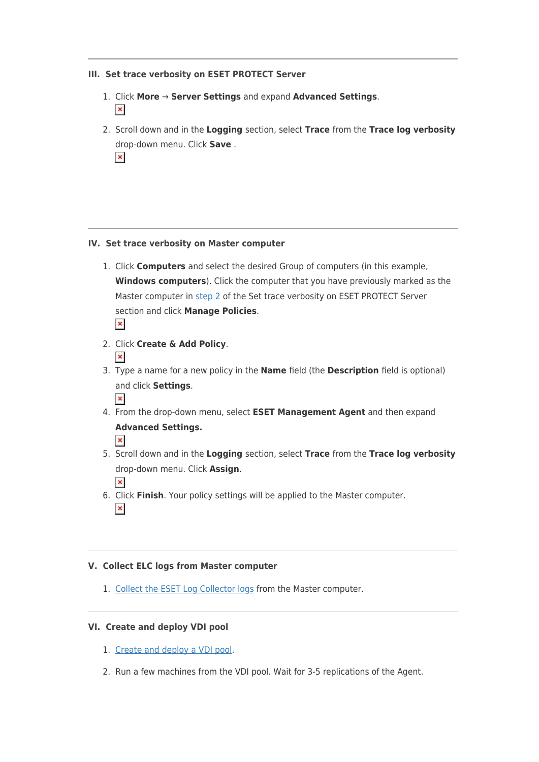#### **III. Set trace verbosity on ESET PROTECT Server**

- 1. Click **More** → **Server Settings** and expand **Advanced Settings**.  $\pmb{\times}$
- 2. Scroll down and in the **Logging** section, select **Trace** from the **Trace log verbosity** drop-down menu. Click **Save** .  $\pmb{\times}$

#### **IV. Set trace verbosity on Master computer**

- 1. Click **Computers** and select the desired Group of computers (in this example, **Windows computers**). Click the computer that you have previously marked as the Master computer in [step 2](https://support.eset.com/en/kb8108-virtual-desktop-infrastructure-vdi-troubleshooting#createMasterPC) of the Set trace verbosity on ESET PROTECT Server section and click **Manage Policies**.  $\pmb{\times}$
- 2. Click **Create & Add Policy**.  $\vert x \vert$
- 3. Type a name for a new policy in the **Name** field (the **Description** field is optional) and click **Settings**.
	- $\pmb{\times}$
- 4. From the drop-down menu, select **ESET Management Agent** and then expand **Advanced Settings.**

- 5. Scroll down and in the **Logging** section, select **Trace** from the **Trace log verbosity** drop-down menu. Click **Assign**.
- $\pmb{\times}$ 6. Click **Finish**. Your policy settings will be applied to the Master computer.  $\pmb{\times}$

#### **V. Collect ELC logs from Master computer**

1. [Collect the ESET Log Collector logs](https://techcenter.eset.nl/nl/kb/articles/how-do-i-use-eset-log-collector) from the Master computer.

#### **VI. Create and deploy VDI pool**

- 1. [Create and deploy a VDI pool](https://help.eset.com/protect_admin/81/en-US/support_vdi.html).
- 2. Run a few machines from the VDI pool. Wait for 3-5 replications of the Agent.